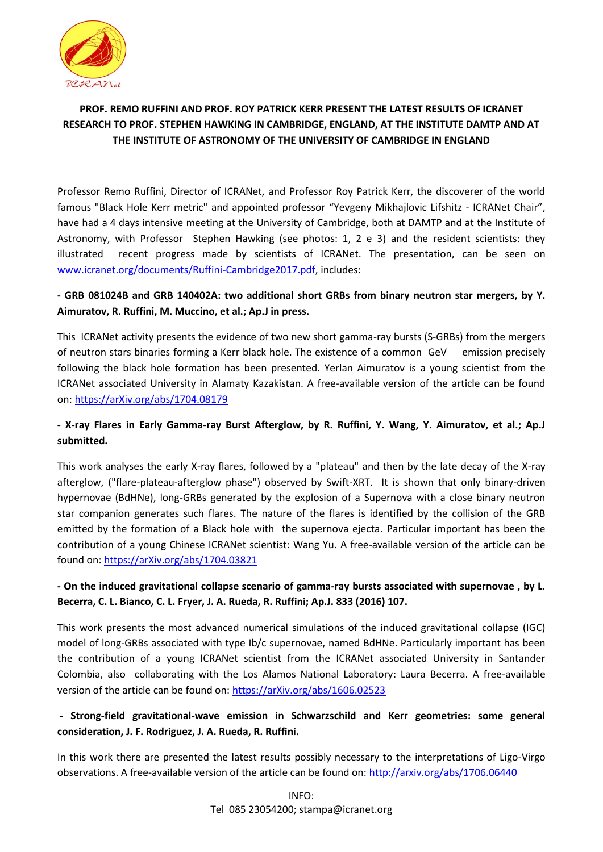

# **PROF. REMO RUFFINI AND PROF. ROY PATRICK KERR PRESENT THE LATEST RESULTS OF ICRANET RESEARCH TO PROF. STEPHEN HAWKING IN CAMBRIDGE, ENGLAND, AT THE INSTITUTE DAMTP AND AT THE INSTITUTE OF ASTRONOMY OF THE UNIVERSITY OF CAMBRIDGE IN ENGLAND**

Professor Remo Ruffini, Director of ICRANet, and Professor Roy Patrick Kerr, the discoverer of the world famous "Black Hole Kerr metric" and appointed professor "Yevgeny Mikhajlovic Lifshitz - ICRANet Chair", have had a 4 days intensive meeting at the University of Cambridge, both at DAMTP and at the Institute of Astronomy, with Professor Stephen Hawking (see photos: 1, 2 e 3) and the resident scientists: they illustrated recent progress made by scientists of ICRANet. The presentation, can be seen on [www.icranet.org/documents/Ruffini-Cambridge2017.pdf,](http://www.icranet.org/documents/Ruffini-Cambridge2017.pdf) includes:

## **- GRB 081024B and GRB 140402A: two additional short GRBs from binary neutron star mergers, by Y. Aimuratov, R. Ruffini, M. Muccino, et al.; Ap.J in press.**

This ICRANet activity presents the evidence of two new short gamma-ray bursts (S-GRBs) from the mergers of neutron stars binaries forming a Kerr black hole. The existence of a common GeV emission precisely following the black hole formation has been presented. Yerlan Aimuratov is a young scientist from the ICRANet associated University in Alamaty Kazakistan. A free-available version of the article can be found on[: https://arXiv.org/abs/1704.08179](https://arxiv.org/abs/1704.08179)

## **- X-ray Flares in Early Gamma-ray Burst Afterglow, by R. Ruffini, Y. Wang, Y. Aimuratov, et al.; Ap.J submitted.**

This work analyses the early X-ray flares, followed by a "plateau" and then by the late decay of the X-ray afterglow, ("flare-plateau-afterglow phase") observed by Swift-XRT. It is shown that only binary-driven hypernovae (BdHNe), long-GRBs generated by the explosion of a Supernova with a close binary neutron star companion generates such flares. The nature of the flares is identified by the collision of the GRB emitted by the formation of a Black hole with the supernova ejecta. Particular important has been the contribution of a young Chinese ICRANet scientist: Wang Yu. A free-available version of the article can be found on[: https://arXiv.org/abs/1704.03821](https://arxiv.org/abs/1704.03821)

### **- On the induced gravitational collapse scenario of gamma-ray bursts associated with supernovae , by L. Becerra, C. L. Bianco, C. L. Fryer, J. A. Rueda, R. Ruffini; Ap.J. 833 (2016) 107.**

This work presents the most advanced numerical simulations of the induced gravitational collapse (IGC) model of long-GRBs associated with type Ib/c supernovae, named BdHNe. Particularly important has been the contribution of a young ICRANet scientist from the ICRANet associated University in Santander Colombia, also collaborating with the Los Alamos National Laboratory: Laura Becerra. A free-available version of the article can be found on: [https://arXiv.org/abs/1606.02523](https://arxiv.org/abs/1606.02523)

### **- Strong-field gravitational-wave emission in Schwarzschild and Kerr geometries: some general consideration, J. F. Rodriguez, J. A. Rueda, R. Ruffini.**

In this work there are presented the latest results possibly necessary to the interpretations of Ligo-Virgo observations. A free-available version of the article can be found on[: http://arxiv.org/abs/1706.06440](http://arxiv.org/abs/1706.06440)